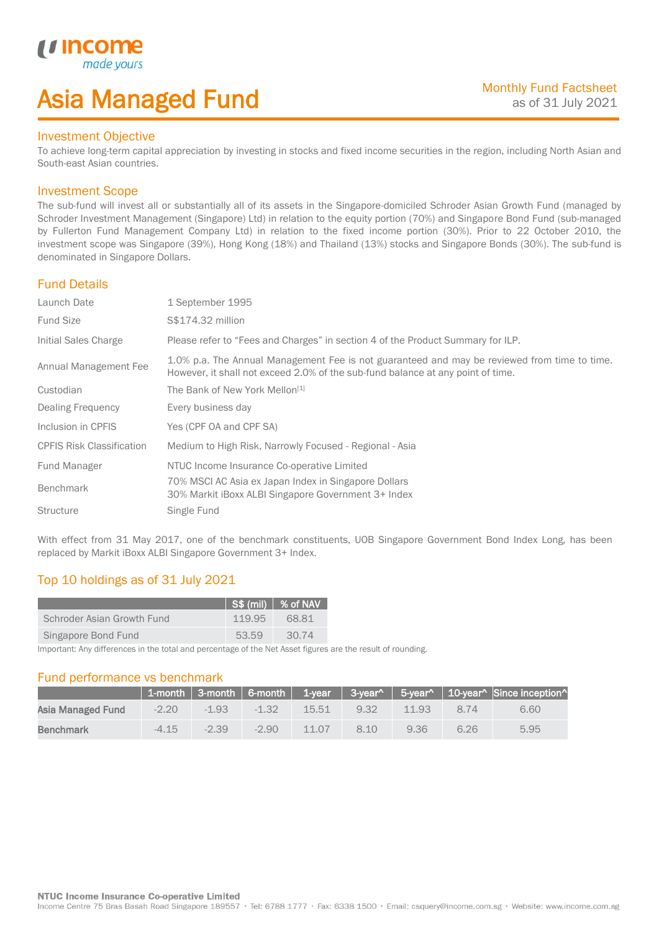# Asia Managed Fund

### Investment Objective

*u* incon

I

To achieve long-term capital appreciation by investing in stocks and fixed income securities in the region, including North Asian and South-east Asian countries.

### Investment Scope

The sub-fund will invest all or substantially all of its assets in the Singapore-domiciled Schroder Asian Growth Fund (managed by Schroder Investment Management (Singapore) Ltd) in relation to the equity portion (70%) and Singapore Bond Fund (sub-managed by Fullerton Fund Management Company Ltd) in relation to the fixed income portion (30%). Prior to 22 October 2010, the investment scope was Singapore (39%), Hong Kong (18%) and Thailand (13%) stocks and Singapore Bonds (30%). The sub-fund is denominated in Singapore Dollars.

## Fund Details

| Launch Date                      | 1 September 1995                                                                                                                                                                |
|----------------------------------|---------------------------------------------------------------------------------------------------------------------------------------------------------------------------------|
| <b>Fund Size</b>                 | S\$174.32 million                                                                                                                                                               |
| Initial Sales Charge             | Please refer to "Fees and Charges" in section 4 of the Product Summary for ILP.                                                                                                 |
| Annual Management Fee            | 1.0% p.a. The Annual Management Fee is not guaranteed and may be reviewed from time to time.<br>However, it shall not exceed 2.0% of the sub-fund balance at any point of time. |
| Custodian                        | The Bank of New York Mellon <sup>[1]</sup>                                                                                                                                      |
| Dealing Frequency                | Every business day                                                                                                                                                              |
| Inclusion in CPFIS               | Yes (CPF OA and CPF SA)                                                                                                                                                         |
| <b>CPFIS Risk Classification</b> | Medium to High Risk, Narrowly Focused - Regional - Asia                                                                                                                         |
| Fund Manager                     | NTUC Income Insurance Co-operative Limited                                                                                                                                      |
| <b>Benchmark</b>                 | 70% MSCI AC Asia ex Japan Index in Singapore Dollars<br>30% Markit iBoxx ALBI Singapore Government 3+ Index                                                                     |
| <b>Structure</b>                 | Single Fund                                                                                                                                                                     |

With effect from 31 May 2017, one of the benchmark constituents, UOB Singapore Government Bond Index Long, has been replaced by Markit iBoxx ALBI Singapore Government 3+ Index.

# Top 10 holdings as of 31 July 2021

|                            |        | $\vert$ S\$ (mil) $\vert$ % of NAV |
|----------------------------|--------|------------------------------------|
| Schroder Asian Growth Fund | 119.95 | 68.81                              |
| Singapore Bond Fund        | 53.59  | 30.74                              |

Important: Any differences in the total and percentage of the Net Asset figures are the result of rounding.

## Fund performance vs benchmark

|                   |         |         |         |       |      |       |      | 1-month   3-month   6-month   1-year   3-year^   5-year^   10-year^   Since inception^ |
|-------------------|---------|---------|---------|-------|------|-------|------|----------------------------------------------------------------------------------------|
| Asia Managed Fund | $-2.20$ | $-1.93$ | $-1.32$ | 15.51 | 9.32 | 11.93 | 8.74 | 6.60                                                                                   |
| <b>Benchmark</b>  | $-4.15$ | $-2.39$ | $-2.90$ | 11.07 | 810  | 9.36  | 6.26 | 5.95                                                                                   |